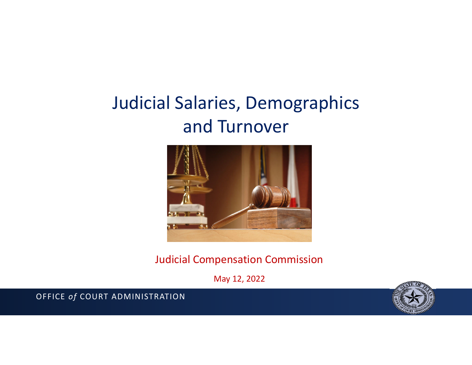# Judicial Salaries, Demographics and Turnover



Judicial Compensation Commission

May 12, 2022

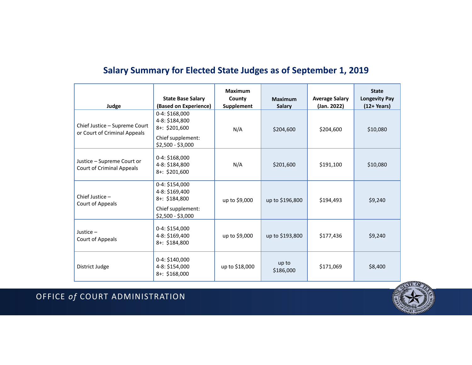| Judge                                                          | <b>State Base Salary</b><br>(Based on Experience)                                              | <b>Maximum</b><br>County<br><b>Supplement</b> | <b>Maximum</b><br><b>Salary</b> | <b>Average Salary</b><br>(Jan. 2022) | <b>State</b><br><b>Longevity Pay</b><br>$(12+Years)$ |
|----------------------------------------------------------------|------------------------------------------------------------------------------------------------|-----------------------------------------------|---------------------------------|--------------------------------------|------------------------------------------------------|
| Chief Justice - Supreme Court<br>or Court of Criminal Appeals  | 0-4: \$168,000<br>4-8: \$184,800<br>$8 + : $201,600$<br>Chief supplement:<br>\$2,500 - \$3,000 | N/A                                           | \$204,600                       | \$204,600                            | \$10,080                                             |
| Justice - Supreme Court or<br><b>Court of Criminal Appeals</b> | 0-4: \$168,000<br>4-8: \$184,800<br>8+: \$201,600                                              | N/A                                           | \$201,600                       | \$191,100                            | \$10,080                                             |
| Chief Justice -<br>Court of Appeals                            | 0-4: \$154,000<br>4-8: \$169,400<br>8+: \$184,800<br>Chief supplement:<br>$$2,500 - $3,000$    | up to \$9,000                                 | up to \$196,800                 | \$194,493                            | \$9,240                                              |
| Justice $-$<br>Court of Appeals                                | 0-4: \$154,000<br>4-8: \$169,400<br>8+: \$184,800                                              | up to \$9,000                                 | up to \$193,800                 | \$177,436                            | \$9,240                                              |
| District Judge                                                 | 0-4: \$140,000<br>4-8: \$154,000<br>8+: \$168,000                                              | up to \$18,000                                | up to<br>\$186,000              | \$171,069                            | \$8,400                                              |

## **Salary Summary for Elected State Judges as of September 1, 2019**

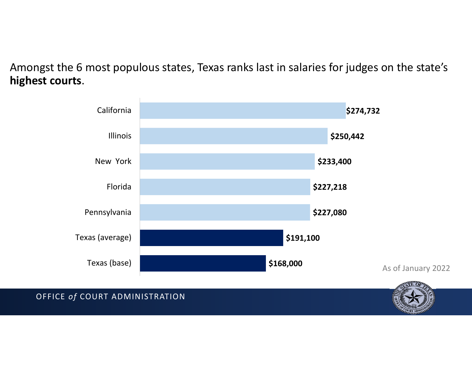## Amongst the 6 most populous states, Texas ranks last in salaries for judges on the state's **highest courts**.



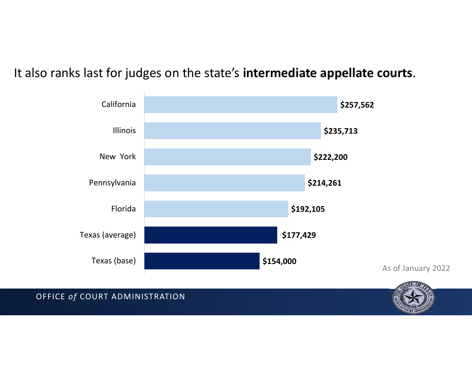## It also ranks last for judges on the state's **intermediate appellate courts**.



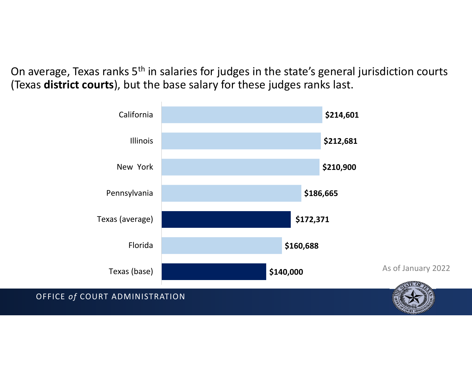On average, Texas ranks 5<sup>th</sup> in salaries for judges in the state's general jurisdiction courts (Texas **district courts**), but the base salary for these judges ranks last.

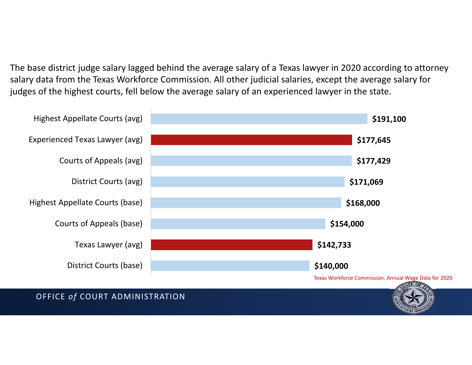The base district judge salary lagged behind the average salary of <sup>a</sup> Texas lawyer in 2020 according to attorney salary data from the Texas Workforce Commission. All other judicial salaries, except the average salary for judges of the highest courts, fell below the average salary of an experienced lawyer in the state.



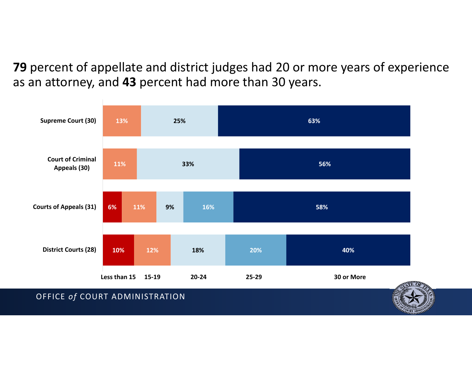**79** percent of appellate and district judges had 20 or more years of experience as an attorney, and **43** percent had more than 30 years.



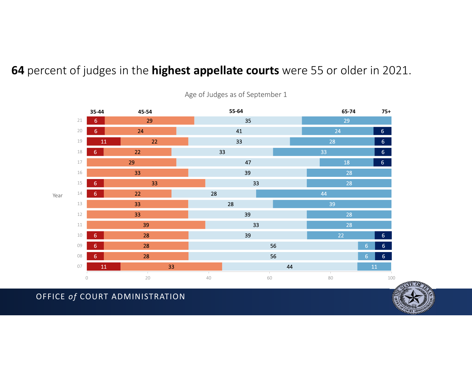## percent of judges in the **highest appellate courts** were 55 or older in 2021.



Age of Judges as of September 1

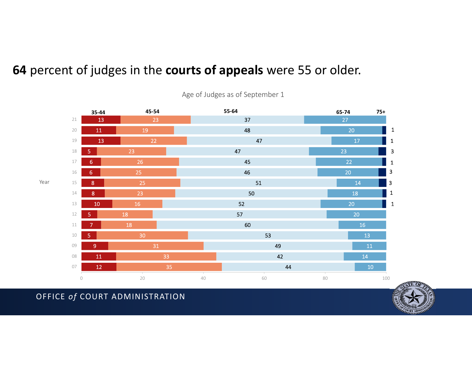## percent of judges in the **courts of appeals** were 55 or older.



Age of Judges as of September 1

### OFFICE *<sup>o</sup> f* COURT ADMINISTRATION



Year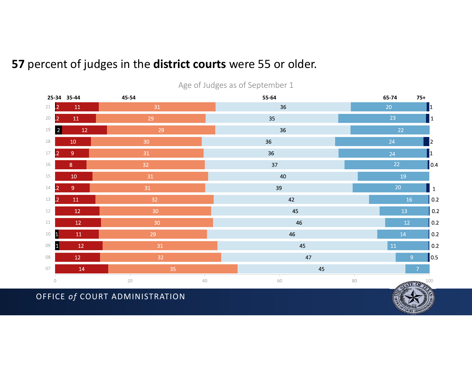### **1 12 12** 17 2 2 20 P 21 12 8 9 0.5 0.2 0.2 0.2 0.2 0.2  $\mathbf{I}$ 0.4 1 20 40 60 80 100 **‐34 35‐44 45‐54 55‐6465‐74 75+**

## percent of judges in the **district courts** were 55 or older.

OFFICE *<sup>o</sup> f* COURT ADMINISTRATION



Age of Judges as of September 1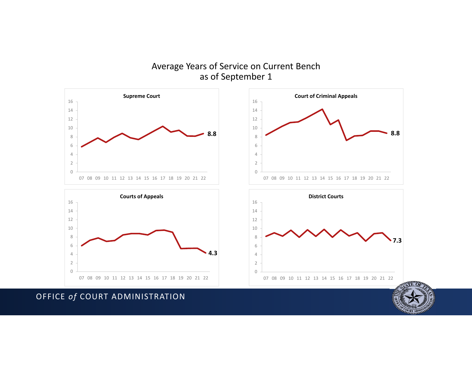### Average Years of Service on Current Bench as of September 1

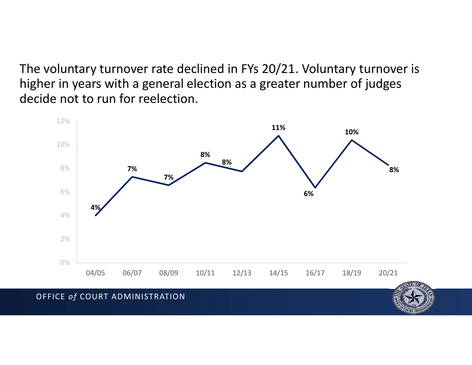The voluntary turnover rate declined in FYs 20/21. Voluntary turnover is higher in years with <sup>a</sup> general election as <sup>a</sup> greater number of judges decide not to run for reelection.

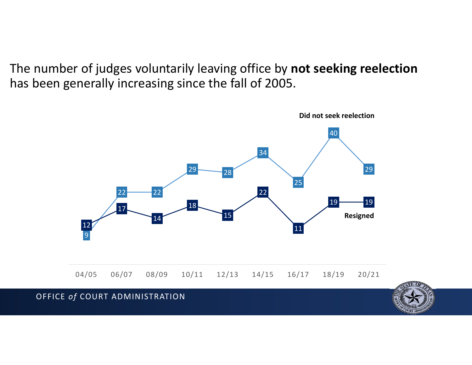The number of judges voluntarily leaving office by **not seeking reelection** has been generally increasing since the fall of 2005.



04/05 06/07 08/09 10/11 12/13 14/15 16/17 18/19 20/21

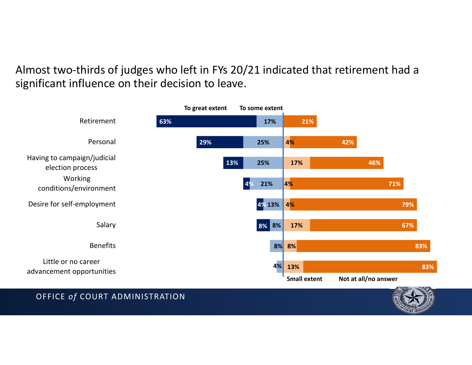## Almost two‐thirds of judges who left in FYs 20/21 indicated that retirement had <sup>a</sup> significant influence on their decision to leave.



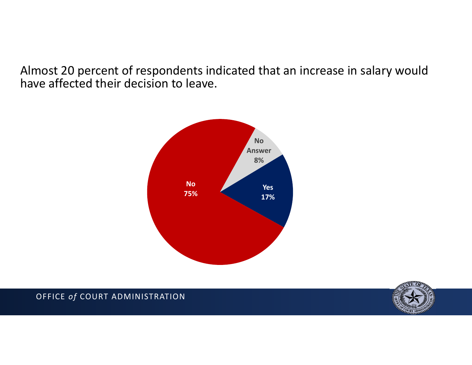Almost 20 percent of respondents indicated that an increase in salary would have affected their decision to leave.





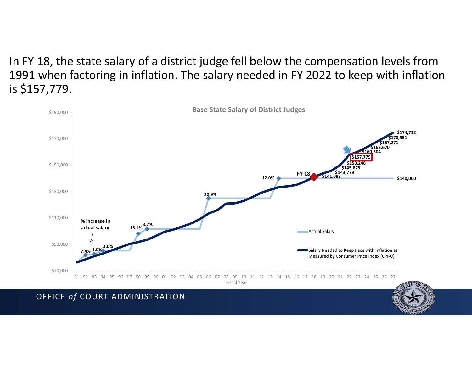In FY 18, the state salary of <sup>a</sup> district judge fell below the compensation levels from 1991 when factoring in inflation. The salary needed in FY 2022 to keep with inflation is \$157,779.

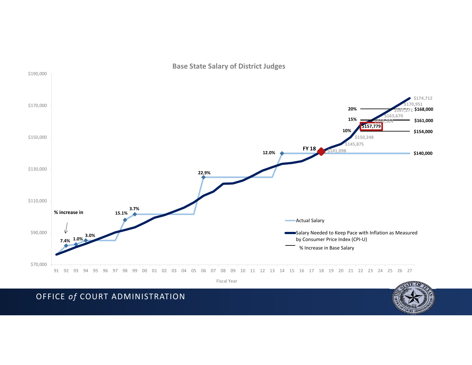

**Base State Salary of District Judges**